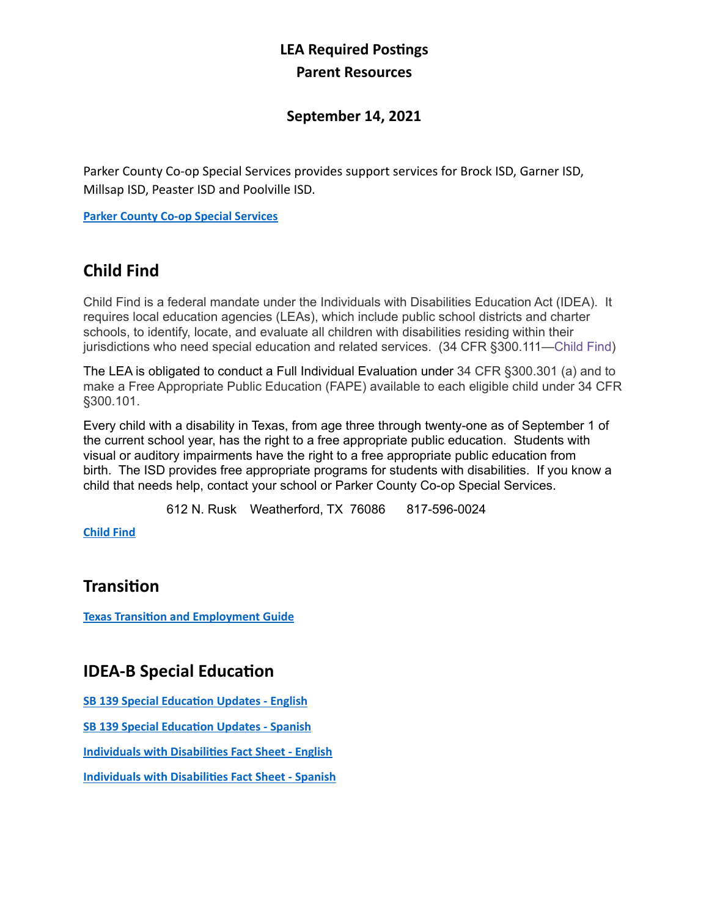## **LEA Required Postings Parent Resources**

#### **September 14, 2021**

Parker County Co-op Special Services provides support services for Brock ISD, Garner ISD, Millsap ISD, Peaster ISD and Poolville ISD.

**[Parker County Co-op Special Services](https://parkercountyco-op.net/)**

## **Child Find**

Child Find is a federal mandate under the Individuals with Disabilities Education Act (IDEA). It requires local education agencies (LEAs), which include public school districts and charter schools, to identify, locate, and evaluate all children with disabilities residing within their jurisdictions who need special education and related services. (34 CFR §300.111—[Child Find](https://gov.ecfr.io/cgi-bin/text-idx?SID=3aefcee7b21b4c6ab1436836a75b310a&mc=true&node=se34.2.300_1111&rgn=div8))

The LEA is obligated to conduct a Full Individual Evaluation under 34 CFR §300.301 (a) and to make a Free Appropriate Public Education (FAPE) available to each eligible child under 34 CFR §300.101.

Every child with a disability in Texas, from age three through twenty-one as of September 1 of the current school year, has the right to a free appropriate public education. Students with visual or auditory impairments have the right to a free appropriate public education from birth. The ISD provides free appropriate programs for students with disabilities. If you know a child that needs help, contact your school or Parker County Co-op Special Services.

612 N. Rusk Weatherford, TX 76086 817-596-0024

**[Child Find](https://parkercountyco-op.net/child-find)**

### **Transition**

**[Texas Transition and Employment Guide](https://tea.texas.gov/sites/default/files/2018%2520Texas%2520Transition%2520and%2520Employment%2520Guide%2520rev2.pdf)**

### **IDEA-B Special Education**

**[SB 139 Special Education Updates - English](https://tea.texas.gov/sites/default/files/Updates-on-Special-Education.pdf)**

**[SB 139 Special Education Updates - Spanish](https://tea.texas.gov/sites/default/files/updates-on-special-education-spanish.pdf)**

**[Individuals with Disabilities Fact Sheet - English](https://tea.texas.gov/sites/default/files/IDEA.pdf)**

**[Individuals with Disabilities Fact Sheet - Spanish](https://tea.texas.gov/sites/default/files/IDEA-Spanish.pdf)**